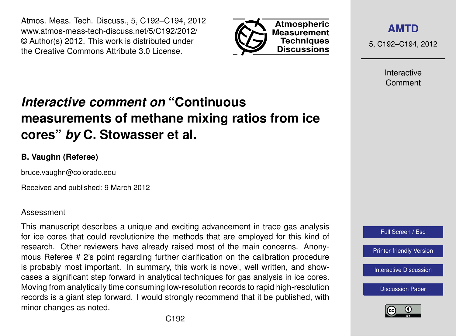Atmos. Meas. Tech. Discuss., 5, C192–C194, 2012 www.atmos-meas-tech-discuss.net/5/C192/2012/ © Author(s) 2012. This work is distributed under the Creative Commons Attribute 3.0 License.



**[AMTD](http://www.atmos-meas-tech-discuss.net)**

5, C192–C194, 2012

Interactive Comment

## *Interactive comment on* **"Continuous measurements of methane mixing ratios from ice cores"** *by* **C. Stowasser et al.**

## **B. Vaughn (Referee)**

bruce.vaughn@colorado.edu

Received and published: 9 March 2012

## Assessment

This manuscript describes a unique and exciting advancement in trace gas analysis for ice cores that could revolutionize the methods that are employed for this kind of research. Other reviewers have already raised most of the main concerns. Anonymous Referee # 2's point regarding further clarification on the calibration procedure is probably most important. In summary, this work is novel, well written, and showcases a significant step forward in analytical techniques for gas analysis in ice cores. Moving from analytically time consuming low-resolution records to rapid high-resolution records is a giant step forward. I would strongly recommend that it be published, with minor changes as noted.



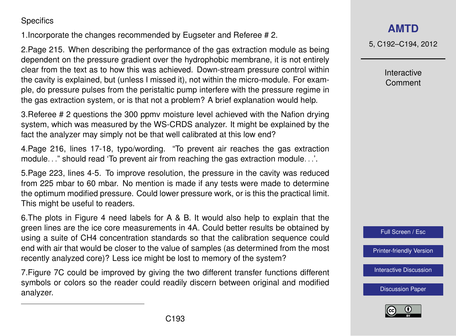**Specifics** 

1.Incorporate the changes recommended by Eugseter and Referee # 2.

2.Page 215. When describing the performance of the gas extraction module as being dependent on the pressure gradient over the hydrophobic membrane, it is not entirely clear from the text as to how this was achieved. Down-stream pressure control within the cavity is explained, but (unless I missed it), not within the micro-module. For example, do pressure pulses from the peristaltic pump interfere with the pressure regime in the gas extraction system, or is that not a problem? A brief explanation would help.

3.Referee # 2 questions the 300 ppmv moisture level achieved with the Nafion drying system, which was measured by the WS-CRDS analyzer. It might be explained by the fact the analyzer may simply not be that well calibrated at this low end?

4.Page 216, lines 17-18, typo/wording. "To prevent air reaches the gas extraction module. . ." should read 'To prevent air from reaching the gas extraction module. . .'.

5.Page 223, lines 4-5. To improve resolution, the pressure in the cavity was reduced from 225 mbar to 60 mbar. No mention is made if any tests were made to determine the optimum modified pressure. Could lower pressure work, or is this the practical limit. This might be useful to readers.

6.The plots in Figure 4 need labels for A & B. It would also help to explain that the green lines are the ice core measurements in 4A. Could better results be obtained by using a suite of CH4 concentration standards so that the calibration sequence could end with air that would be closer to the value of samples (as determined from the most recently analyzed core)? Less ice might be lost to memory of the system?

7.Figure 7C could be improved by giving the two different transfer functions different symbols or colors so the reader could readily discern between original and modified analyzer.

**[AMTD](http://www.atmos-meas-tech-discuss.net)**

5, C192–C194, 2012

Interactive Comment

Full Screen / Esc

[Printer-friendly Version](http://www.atmos-meas-tech-discuss.net/5/C192/2012/amtd-5-C192-2012-print.pdf)

[Interactive Discussion](http://www.atmos-meas-tech-discuss.net/5/211/2012/amtd-5-211-2012-discussion.html)

[Discussion Paper](http://www.atmos-meas-tech-discuss.net/5/211/2012/amtd-5-211-2012.pdf)